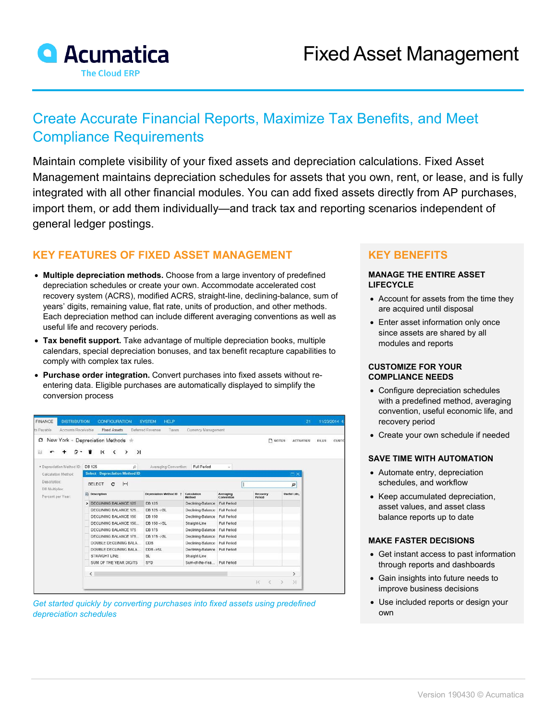

# Create Accurate Financial Reports, Maximize Tax Benefits, and Meet Compliance Requirements

Maintain complete visibility of your fixed assets and depreciation calculations. Fixed Asset Management maintains depreciation schedules for assets that you own, rent, or lease, and is fully integrated with all other financial modules. You can add fixed assets directly from AP purchases, import them, or add them individually—and track tax and reporting scenarios independent of general ledger postings.

## **KEY FEATURES OF FIXED ASSET MANAGEMENT**

- **Multiple depreciation methods.** Choose from a large inventory of predefined depreciation schedules or create your own. Accommodate accelerated cost recovery system (ACRS), modified ACRS, straight-line, declining-balance, sum of years' digits, remaining value, flat rate, units of production, and other methods. Each depreciation method can include different averaging conventions as well as useful life and recovery periods.
- **Tax benefit support.** Take advantage of multiple depreciation books, multiple calendars, special depreciation bonuses, and tax benefit recapture capabilities to comply with complex tax rules.
- **Purchase order integration.** Convert purchases into fixed assets without reentering data. Eligible purchases are automatically displayed to simplify the conversion process

| <b>FINANCE</b><br><b>DISTRIBUTION</b><br>Accounts Receivable<br>ts Payable | <b>CONFIGURATION</b><br><b>Fixed Assets</b>                           | <b>HELP</b><br><b>SYSTEM</b><br>Deferred Revenue<br>Taxes | Currency Management   |                         |                    | 21                         | 11/23/2014 4.         |
|----------------------------------------------------------------------------|-----------------------------------------------------------------------|-----------------------------------------------------------|-----------------------|-------------------------|--------------------|----------------------------|-----------------------|
| c<br>白                                                                     | New York - Depreciation Methods +<br>$\geq$<br>$\mathsf{R}$<br>≺<br>᠈ |                                                           |                       |                         |                    | NOTES<br><b>ACTIVITIES</b> | <b>FILES</b><br>CUSTO |
| * Depreciation Method ID:<br>Calculation Method:<br>Description:           | <b>DB 125</b><br>$\circ$<br><b>Select - Depreciation Method ID</b>    | Averaging Convention:                                     | Full Period           | W)                      |                    | $\square$                  |                       |
| DB Multiplier:                                                             | $\left  \mathbf{H} \right $<br><b>SELECT</b><br>C                     |                                                           |                       |                         |                    | ρ                          |                       |
| Percent per Year:                                                          | <b>ER</b> Description                                                 | Depreciation Method ID 1                                  | Calculation<br>Method | Averaging<br>Convention | Recovery<br>Period | Useful Life,               |                       |
|                                                                            | > DECLINING BALANCE 125                                               | DB 125                                                    | Declining-Balance     | Full Period             |                    |                            |                       |
|                                                                            | DECLINING BALANCE 125                                                 | DB 125 -> SL                                              | Declining-Balance     | <b>Full Period</b>      |                    |                            |                       |
|                                                                            | DECLINING BALANCE 150                                                 | DB 150                                                    | Declining-Balance     | Full Period             |                    |                            |                       |
|                                                                            | DECLINING BALANCE 150                                                 | DB 150 -> SL                                              | Straight-Line         | Full Period             |                    |                            |                       |
|                                                                            | DECLINING BALANCE 175                                                 | DB 175                                                    | Declining-Balance     | Full Period             |                    |                            |                       |
|                                                                            | DECLINING BALANCE 175                                                 | DB 175 -> SL                                              | Declining-Balance     | <b>Full Period</b>      |                    |                            |                       |
|                                                                            | DOUBLE DECLINING BALA.                                                | <b>DDB</b>                                                | Declining-Balance     | <b>Full Period</b>      |                    |                            |                       |
|                                                                            | DOUBLE DECLINING BALA.                                                | DDB->SL                                                   | Declining-Balance     | Full Period             |                    |                            |                       |
|                                                                            | STRAIGHT LINE                                                         | <b>SL</b>                                                 | Straight-Line         |                         |                    |                            |                       |
|                                                                            | SUM OF THE YEAR DIGITS                                                | SYD                                                       | Sum-of-the-Yea        | Full Period             |                    |                            |                       |
|                                                                            | $\leq$                                                                |                                                           |                       |                         |                    | $\rightarrow$              |                       |
|                                                                            |                                                                       |                                                           |                       |                         | I¢.                | $\mathcal{F}$<br>$\geq$    |                       |

*Get started quickly by converting purchases into fixed assets using predefined depreciation schedules*

## **KEY BENEFITS**

#### **MANAGE THE ENTIRE ASSET LIFECYCLE**

- Account for assets from the time they are acquired until disposal
- Enter asset information only once since assets are shared by all modules and reports

#### **CUSTOMIZE FOR YOUR COMPLIANCE NEEDS**

- Configure depreciation schedules with a predefined method, averaging convention, useful economic life, and recovery period
- Create your own schedule if needed

#### **SAVE TIME WITH AUTOMATION**

- Automate entry, depreciation schedules, and workflow
- Keep accumulated depreciation, asset values, and asset class balance reports up to date

#### **MAKE FASTER DECISIONS**

- Get instant access to past information through reports and dashboards
- Gain insights into future needs to improve business decisions
- Use included reports or design your own